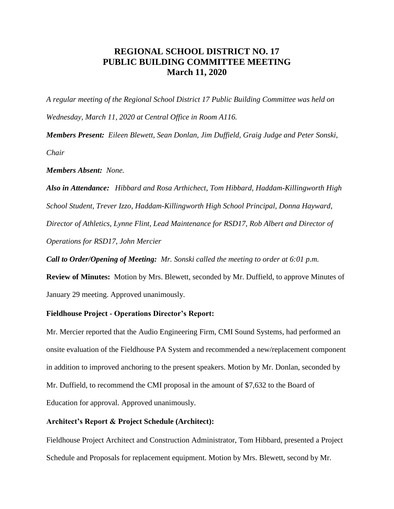## **REGIONAL SCHOOL DISTRICT NO. 17 PUBLIC BUILDING COMMITTEE MEETING March 11, 2020**

*A regular meeting of the Regional School District 17 Public Building Committee was held on Wednesday, March 11, 2020 at Central Office in Room A116.*

*Members Present: Eileen Blewett, Sean Donlan, Jim Duffield, Graig Judge and Peter Sonski, Chair*

*Members Absent: None.*

*Also in Attendance: Hibbard and Rosa Arthichect, Tom Hibbard, Haddam-Killingworth High School Student, Trever Izzo, Haddam-Killingworth High School Principal, Donna Hayward, Director of Athletics, Lynne Flint, Lead Maintenance for RSD17, Rob Albert and Director of Operations for RSD17, John Mercier*

*Call to Order/Opening of Meeting: Mr. Sonski called the meeting to order at 6:01 p.m.* 

**Review of Minutes:** Motion by Mrs. Blewett, seconded by Mr. Duffield, to approve Minutes of January 29 meeting. Approved unanimously.

## **Fieldhouse Project - Operations Director's Report:**

Mr. Mercier reported that the Audio Engineering Firm, CMI Sound Systems, had performed an onsite evaluation of the Fieldhouse PA System and recommended a new/replacement component in addition to improved anchoring to the present speakers. Motion by Mr. Donlan, seconded by Mr. Duffield, to recommend the CMI proposal in the amount of \$7,632 to the Board of Education for approval. Approved unanimously.

## **Architect's Report & Project Schedule (Architect):**

Fieldhouse Project Architect and Construction Administrator, Tom Hibbard, presented a Project Schedule and Proposals for replacement equipment. Motion by Mrs. Blewett, second by Mr.